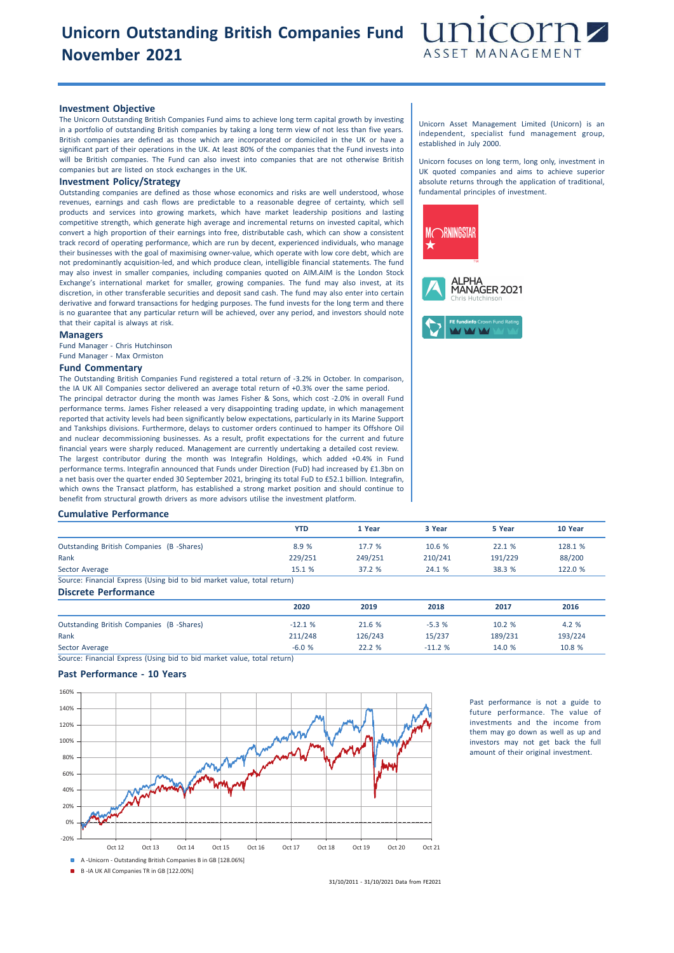# **Unicorn Outstanding British Companies Fund November 2021**



### **Investment Objective**

The Unicorn Outstanding British Companies Fund aims to achieve long term capital growth by investing in a portfolio of outstanding British companies by taking a long term view of not less than five years. British companies are defined as those which are incorporated or domiciled in the UK or have a significant part of their operations in the UK. At least 80% of the companies that the Fund invests into will be British companies. The Fund can also invest into companies that are not otherwise British companies but are listed on stock exchanges in the UK.

## **Investment Policy/Strategy**

Outstanding companies are defined as those whose economics and risks are well understood, whose revenues, earnings and cash flows are predictable to a reasonable degree of certainty, which sell products and services into growing markets, which have market leadership positions and lasting competitive strength, which generate high average and incremental returns on invested capital, which convert a high proportion of their earnings into free, distributable cash, which can show a consistent track record of operating performance, which are run by decent, experienced individuals, who manage their businesses with the goal of maximising owner-value, which operate with low core debt, which are not predominantly acquisition-led, and which produce clean, intelligible financial statements. The fund may also invest in smaller companies, including companies quoted on AIM.AIM is the London Stock Exchange's international market for smaller, growing companies. The fund may also invest, at its discretion, in other transferable securities and deposit sand cash. The fund may also enter into certain derivative and forward transactions for hedging purposes. The fund invests for the long term and there is no guarantee that any particular return will be achieved, over any period, and investors should note that their capital is always at risk.

#### **Managers**

Fund Manager - Chris Hutchinson Fund Manager - Max Ormiston

#### **Fund Commentary**

The Outstanding British Companies Fund registered a total return of -3.2% in October. In comparison, the IA UK All Companies sector delivered an average total return of +0.3% over the same period. The principal detractor during the month was James Fisher & Sons, which cost -2.0% in overall Fund performance terms. James Fisher released a very disappointing trading update, in which management reported that activity levels had been significantly below expectations, particularly in its Marine Support and Tankships divisions. Furthermore, delays to customer orders continued to hamper its Offshore Oil and nuclear decommissioning businesses. As a result, profit expectations for the current and future financial years were sharply reduced. Management are currently undertaking a detailed cost review. The largest contributor during the month was Integrafin Holdings, which added +0.4% in Fund performance terms. Integrafin announced that Funds under Direction (FuD) had increased by £1.3bn on a net basis over the quarter ended 30 September 2021, bringing its total FuD to £52.1 billion. Integrafin, which owns the Transact platform, has established a strong market position and should continue to benefit from structural growth drivers as more advisors utilise the investment platform.

### Unicorn Asset Management Limited (Unicorn) is an independent, specialist fund management group, established in July 2000.

Unicorn focuses on long term, long only, investment in UK quoted companies and aims to achieve superior absolute returns through the application of traditional, fundamental principles of investment.



#### **Cumulative Performance**

|                                                                         | <b>YTD</b> | 1 Year  | 3 Year  | 5 Year  | 10 Year |
|-------------------------------------------------------------------------|------------|---------|---------|---------|---------|
| <b>Outstanding British Companies (B-Shares)</b>                         | 8.9 %      | 17.7%   | 10.6 %  | 22.1 %  | 128.1 % |
| Rank                                                                    | 229/251    | 249/251 | 210/241 | 191/229 | 88/200  |
| Sector Average                                                          | 15.1 %     | 37.2%   | 24.1 %  | 38.3 %  | 122.0 % |
| Source: Financial Express (Using bid to bid market value, total return) |            |         |         |         |         |

**Discrete Performance**

|                                          | 2020     | 2019    | 2018     | 2017    | 2016    |
|------------------------------------------|----------|---------|----------|---------|---------|
| Outstanding British Companies (B-Shares) | $-12.1%$ | 21.6 %  | $-5.3%$  | 10.2 %  | 4.2 %   |
| Rank                                     | 211/248  | 126/243 | 15/237   | 189/231 | 193/224 |
| Sector Average                           | $-6.0%$  | 22.2 %  | $-11.2%$ | 14.0 %  | 10.8 %  |

Source: Financial Express (Using bid to bid market value, total return)

## **Past Performance - 10 Years**



Past performance is not a guide to future performance. The value of investments and the income from them may go down as well as up and investors may not get back the full amount of their original investment.

31/10/2011 - 31/10/2021 Data from FE2021